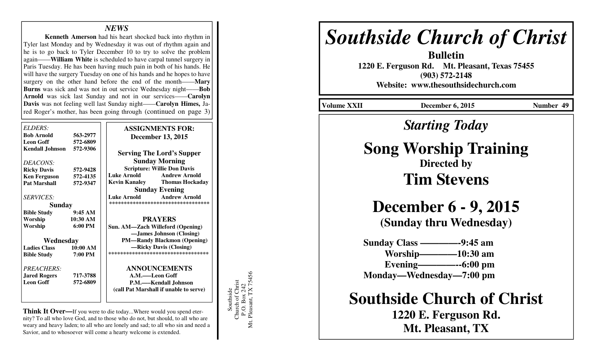#### *NEWS*

 **Kenneth Amerson** had his heart shocked back into rhythm in Tyler last Monday and by Wednesday it was out of rhythm again and he is to go back to Tyler December 10 to try to solve the problem again——**William White** is scheduled to have carpal tunnel surgery in Paris Tuesday. He has been having much pain in both of his hands. He will have the surgery Tuesday on one of his hands and he hopes to have surgery on the other hand before the end of the month——**Mary Burns** was sick and was not in out service Wednesday night——**Bob Arnold** was sick last Sunday and not in our services——**Carolyn Davis** was not feeling well last Sunday night——**Carolyn Himes,** Jared Roger's mother, has been going through (continued on page 3)

| ELDERS:                |                   | <b>ASSIGNMENTS FOR:</b>                    |
|------------------------|-------------------|--------------------------------------------|
| <b>Bob Arnold</b>      | 563-2977          | <b>December 13, 2015</b>                   |
| <b>Leon Goff</b>       | 572-6809          |                                            |
| <b>Kendall Johnson</b> | 572-9306          | <b>Serving The Lord's Supper</b>           |
| DEACONS:               |                   | <b>Sunday Morning</b>                      |
| <b>Ricky Davis</b>     | 572-9428          | <b>Scripture: Willie Don Davis</b>         |
| <b>Ken Ferguson</b>    | 572-4135          | <b>Luke Arnold</b><br><b>Andrew Arnold</b> |
| <b>Pat Marshall</b>    | 572-9347          | <b>Thomas Hockaday</b><br>Kevin Kanaley    |
|                        |                   | <b>Sunday Evening</b>                      |
| <b>SERVICES:</b>       |                   | <b>Andrew Arnold</b><br><b>Luke Arnold</b> |
| Sunday                 |                   | **********************************         |
| <b>Bible Study</b>     | 9:45AM            |                                            |
| Worship                | 10:30 AM          | <b>PRAYERS</b>                             |
| Worship                | $6:00 \text{ PM}$ | Sun. AM—Zach Willeford (Opening)           |
|                        |                   | -James Johnson (Closing)                   |
| Wednesday              |                   | <b>PM—Randy Blackmon (Opening)</b>         |
| <b>Ladies Class</b>    | 10:00 AM          | -Ricky Davis (Closing)                     |
| <b>Bible Study</b>     | 7:00 PM           | ***********************************        |
| PREACHERS:             |                   | <b>ANNOUNCEMENTS</b>                       |
| <b>Jared Rogers</b>    | 717-3788          | A.M.-Leon Goff                             |
| <b>Leon Goff</b>       | 572-6809          | P.M.—–Kendall Johnson                      |
|                        |                   | (call Pat Marshall if unable to serve)     |
|                        |                   |                                            |

**Think It Over—**If you were to die today...Where would you spend eternity? To all who love God, and to those who do not, but should, to all who are weary and heavy laden; to all who are lonely and sad; to all who sin and need a Savior, and to whosoever will come a hearty welcome is extended.

Southside<br>Church of Christ<br>P.O. Box 242<br>Mt. Pleasant, TX 75456 Mt. Pleasant, TX 75456 Church of Christ P.O. Box 242 Southside

# *Southside Church of Christ*

**Bulletin 1220 E. Ferguson Rd. Mt. Pleasant, Texas 75455 (903) 572-2148 Website: www.thesouthsidechurch.com** 

**Volume XXII December 6, 2015 Number 49** 

## *Starting Today*

## **Song Worship Training Directed by**

**Tim Stevens** 

**December 6 - 9, 2015** 

**(Sunday thru Wednesday)** 

 **Sunday Class ————-9:45 am Worship————10:30 am Evening————--6:00 pm Monday—Wednesday—7:00 pm** 

**Southside Church of Christ** 

**1220 E. Ferguson Rd. Mt. Pleasant, TX**